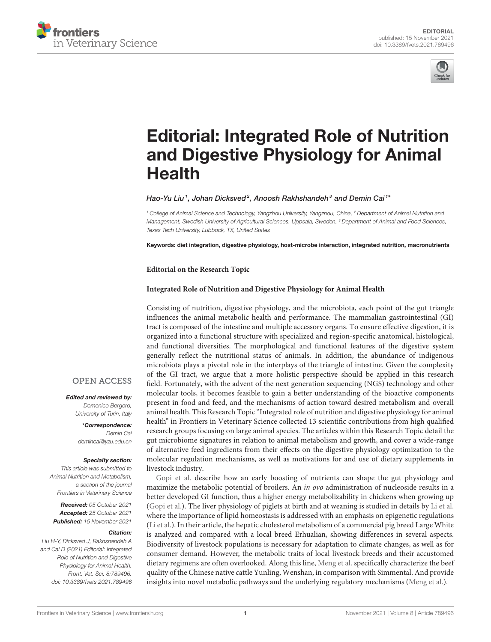



# Editorial: Integrated Role of Nutrition [and Digestive Physiology for Animal](https://www.frontiersin.org/articles/10.3389/fvets.2021.789496/full) Health

Hao-Yu Liu<sup>1</sup>, Johan Dicksved<sup>2</sup>, Anoosh Rakhshandeh<sup>3</sup> and Demin Cai<sup>1\*</sup>

*<sup>1</sup> College of Animal Science and Technology, Yangzhou University, Yangzhou, China, <sup>2</sup> Department of Animal Nutrition and Management, Swedish University of Agricultural Sciences, Uppsala, Sweden, <sup>3</sup> Department of Animal and Food Sciences, Texas Tech University, Lubbock, TX, United States*

Keywords: diet integration, digestive physiology, host-microbe interaction, integrated nutrition, macronutrients

**Editorial on the Research Topic**

#### **[Integrated Role of Nutrition and Digestive Physiology for Animal Health](https://www.frontiersin.org/research-topics/12796/integrated-role-of-nutrition-and-digestive-physiology-for-animal-health)**

Consisting of nutrition, digestive physiology, and the microbiota, each point of the gut triangle influences the animal metabolic health and performance. The mammalian gastrointestinal (GI) tract is composed of the intestine and multiple accessory organs. To ensure effective digestion, it is organized into a functional structure with specialized and region-specific anatomical, histological, and functional diversities. The morphological and functional features of the digestive system generally reflect the nutritional status of animals. In addition, the abundance of indigenous microbiota plays a pivotal role in the interplays of the triangle of intestine. Given the complexity of the GI tract, we argue that a more holistic perspective should be applied in this research field. Fortunately, with the advent of the next generation sequencing (NGS) technology and other molecular tools, it becomes feasible to gain a better understanding of the bioactive components present in food and feed, and the mechanisms of action toward desired metabolism and overall animal health. This Research Topic "Integrated role of nutrition and digestive physiology for animal health" in Frontiers in Veterinary Science collected 13 scientific contributions from high qualified research groups focusing on large animal species. The articles within this Research Topic detail the gut microbiome signatures in relation to animal metabolism and growth, and cover a wide-range of alternative feed ingredients from their effects on the digestive physiology optimization to the molecular regulation mechanisms, as well as motivations for and use of dietary supplements in livestock industry.

[Gopi et al.](https://doi.org/10.3389/fvets.2020.583748) describe how an early boosting of nutrients can shape the gut physiology and maximize the metabolic potential of broilers. An *in ovo* administration of nucleoside results in a better developed GI function, thus a higher energy metabolizability in chickens when growing up [\(Gopi et al.\)](https://doi.org/10.3389/fvets.2020.583748). The liver physiology of piglets at birth and at weaning is studied in details by [Li et al.](https://doi.org/10.3389/fvets.2020.00231) where the importance of lipid homeostasis is addressed with an emphasis on epigenetic regulations [\(Li et al.\)](https://doi.org/10.3389/fvets.2020.00231). In their article, the hepatic cholesterol metabolism of a commercial pig breed Large White is analyzed and compared with a local breed Erhualian, showing differences in several aspects. Biodiversity of livestock populations is necessary for adaptation to climate changes, as well as for consumer demand. However, the metabolic traits of local livestock breeds and their accustomed dietary regimens are often overlooked. Along this line, [Meng et al.](https://doi.org/10.3389/fvets.2020.601064) specifically characterize the beef quality of the Chinese native cattle Yunling, Wenshan, in comparison with Simmental. And provide insights into novel metabolic pathways and the underlying regulatory mechanisms [\(Meng et al.\)](https://doi.org/10.3389/fvets.2020.601064).

## **OPEN ACCESS**

Edited and reviewed by: *Domenico Bergero, University of Turin, Italy*

> \*Correspondence: *Demin Cai [demincai@yzu.edu.cn](mailto:demincai@yzu.edu.cn)*

#### Specialty section:

*This article was submitted to Animal Nutrition and Metabolism, a section of the journal Frontiers in Veterinary Science*

Received: *05 October 2021* Accepted: *25 October 2021* Published: *15 November 2021*

#### Citation:

*Liu H-Y, Dicksved J, Rakhshandeh A and Cai D (2021) Editorial: Integrated Role of Nutrition and Digestive Physiology for Animal Health. Front. Vet. Sci. 8:789496. doi: [10.3389/fvets.2021.789496](https://doi.org/10.3389/fvets.2021.789496)*